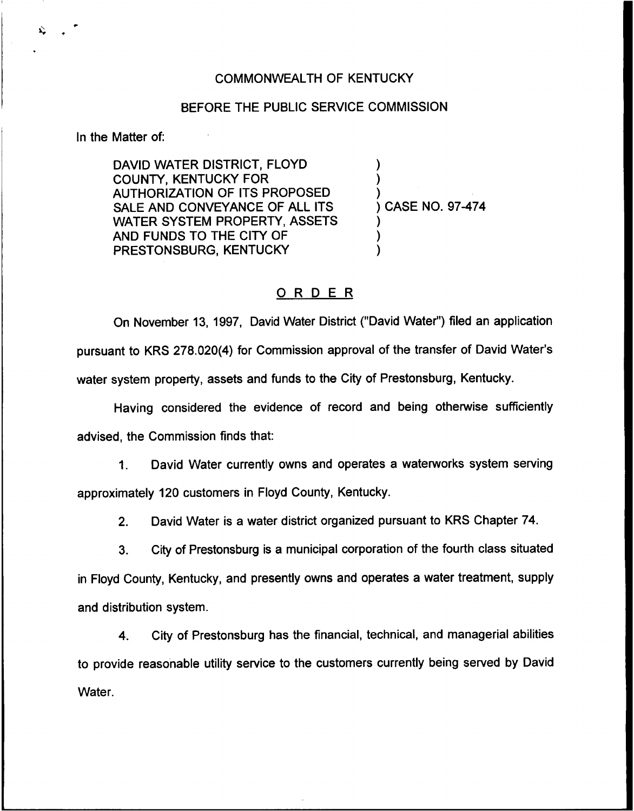### COMMONWEALTH OF KENTUCKY

### BEFORE THE PUBLIC SERVICE COMMISSION

In the Matter of:

DAVID WATER DISTRICT, FLOYD COUNTY, KENTUCKY FOR AUTHORIZATION OF ITS PROPOSED SALE AND CONVEYANCE OF ALL ITS WATER SYSTEM PROPERTY, ASSETS AND FUNDS TO THE CITY OF PRESTONSBURG, KENTUCKY

) ) ) ) CASE NO. 97-474 )

) )

# ORDER

On November 13, 1997, David Water District ("David Water") filed an applicatio pursuant to KRS 278.020(4) for Commission approval of the transfer of David Water' water system property, assets and funds to the City of Prestonsburg, Kentucky.

Having considered the evidence of record and being otherwise sufficiently advised, the Commission finds that:

1. David Water currently owns and operates a waterworks system serving approximately 120 customers in Floyd County, Kentucky.

2. David Water is a water district organized pursuant to KRS Chapter 74.

3. City of Prestonsburg is a municipal corporation of the fourth class situated in Floyd County, Kentucky, and presently owns and operates a water treatment, supply and distribution system.

4. City of Prestonsburg has the financial, technical, and managerial abilities to provide reasonable utility service to the customers currently being served by David Water.